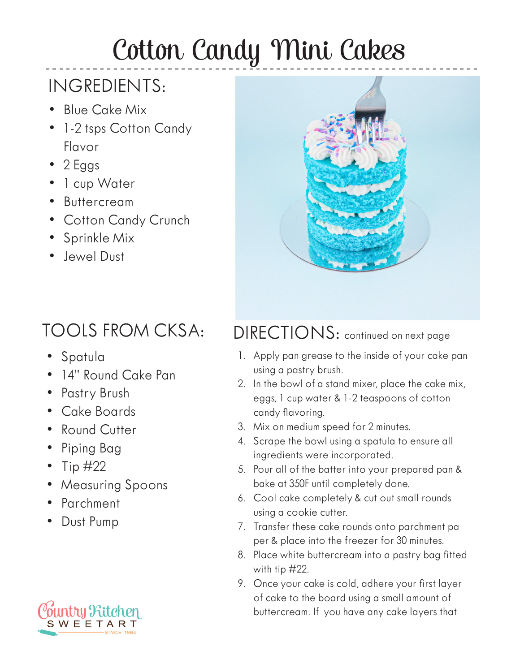## Cotton Candy Mini Cakes

## INGREDIENTS:

- Blue Cake Mix
- 1-2 tsps Cotton Candy Flavor
- 2 Eggs
- 1 cup Water
- Buttercream
- Cotton Candy Crunch
- Sprinkle Mix
- Jewel Dust

## TOOLS FROM CKSA:

- Spatula
- 14" Round Cake Pan
- Pastry Brush
- Cake Boards
- Round Cutter
- Piping Bag
- Tip  $\#22$
- Measuring Spoons
- Parchment
- Dust Pump





## DIRECTIONS: continued on next page

- 1. Apply pan grease to the inside of your cake pan using a pastry brush.
- 2. In the bowl of a stand mixer, place the cake mix, eggs, 1 cup water & 1-2 teaspoons of cotton candy flavoring.
- 3. Mix on medium speed for 2 minutes.
- 4. Scrape the bowl using a spatula to ensure all ingredients were incorporated.
- 5. Pour all of the batter into your prepared pan & bake at 350F until completely done.
- 6. Cool cake completely & cut out small rounds using a cookie cutter.
- 7. Transfer these cake rounds onto parchment pa per & place into the freezer for 30 minutes.
- 8. Place white buttercream into a pastry bag fitted with tip #22.
- 9. Once your cake is cold, adhere your first layer of cake to the board using a small amount of buttercream. If you have any cake layers that